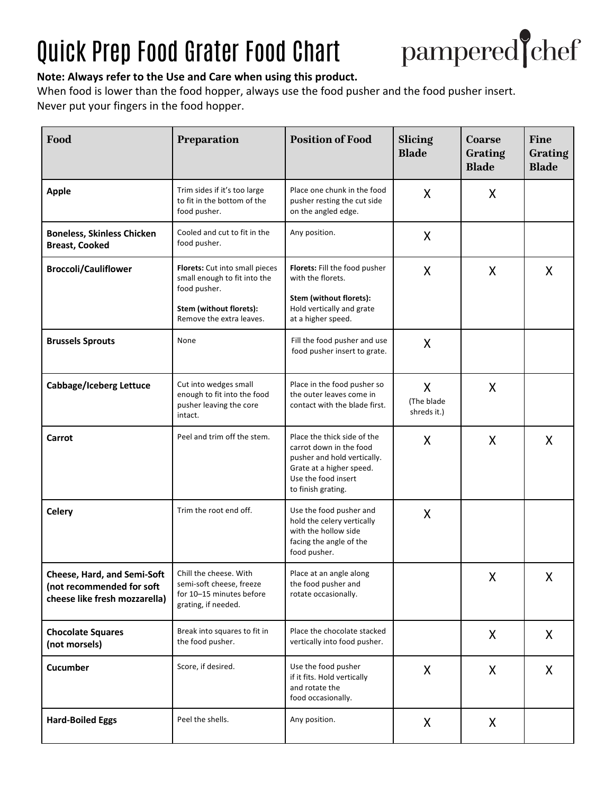## Quick Prep Food Grater Food Chart



## **Note: Always refer to the Use and Care when using this product.**

When food is lower than the food hopper, always use the food pusher and the food pusher insert. Never put your fingers in the food hopper.

| Food                                                                                        | <b>Preparation</b>                                                                                                                    | <b>Position of Food</b>                                                                                                                                        | Slicing<br><b>Blade</b>        | Coarse<br>Grating<br><b>Blade</b> | <b>Fine</b><br>Grating<br><b>Blade</b> |
|---------------------------------------------------------------------------------------------|---------------------------------------------------------------------------------------------------------------------------------------|----------------------------------------------------------------------------------------------------------------------------------------------------------------|--------------------------------|-----------------------------------|----------------------------------------|
| <b>Apple</b>                                                                                | Trim sides if it's too large<br>to fit in the bottom of the<br>food pusher.                                                           | Place one chunk in the food<br>pusher resting the cut side<br>on the angled edge.                                                                              | X                              | X.                                |                                        |
| <b>Boneless, Skinless Chicken</b><br><b>Breast, Cooked</b>                                  | Cooled and cut to fit in the<br>food pusher.                                                                                          | Any position.                                                                                                                                                  | X                              |                                   |                                        |
| <b>Broccoli/Cauliflower</b>                                                                 | Florets: Cut into small pieces<br>small enough to fit into the<br>food pusher.<br>Stem (without florets):<br>Remove the extra leaves. | Florets: Fill the food pusher<br>with the florets.<br>Stem (without florets):<br>Hold vertically and grate<br>at a higher speed.                               | X                              | X                                 | X                                      |
| <b>Brussels Sprouts</b>                                                                     | None                                                                                                                                  | Fill the food pusher and use<br>food pusher insert to grate.                                                                                                   | X                              |                                   |                                        |
| Cabbage/Iceberg Lettuce                                                                     | Cut into wedges small<br>enough to fit into the food<br>pusher leaving the core<br>intact.                                            | Place in the food pusher so<br>the outer leaves come in<br>contact with the blade first.                                                                       | X<br>(The blade<br>shreds it.) | X                                 |                                        |
| Carrot                                                                                      | Peel and trim off the stem.                                                                                                           | Place the thick side of the<br>carrot down in the food<br>pusher and hold vertically.<br>Grate at a higher speed.<br>Use the food insert<br>to finish grating. | X                              | X                                 | X                                      |
| <b>Celery</b>                                                                               | Trim the root end off.                                                                                                                | Use the food pusher and<br>hold the celery vertically<br>with the hollow side<br>facing the angle of the<br>food pusher.                                       | X                              |                                   |                                        |
| Cheese, Hard, and Semi-Soft  <br>(not recommended for soft<br>cheese like fresh mozzarella) | Chill the cheese. With<br>semi-soft cheese, freeze<br>for 10-15 minutes before<br>grating, if needed.                                 | Place at an angle along<br>the food pusher and<br>rotate occasionally.                                                                                         |                                | $\pmb{\mathsf{X}}$                | Χ                                      |
| <b>Chocolate Squares</b><br>(not morsels)                                                   | Break into squares to fit in<br>the food pusher.                                                                                      | Place the chocolate stacked<br>vertically into food pusher.                                                                                                    |                                | X                                 | X                                      |
| Cucumber                                                                                    | Score, if desired.                                                                                                                    | Use the food pusher<br>if it fits. Hold vertically<br>and rotate the<br>food occasionally.                                                                     | X                              | X                                 | $\mathsf{X}$                           |
| <b>Hard-Boiled Eggs</b>                                                                     | Peel the shells.                                                                                                                      | Any position.                                                                                                                                                  | X                              | X                                 |                                        |